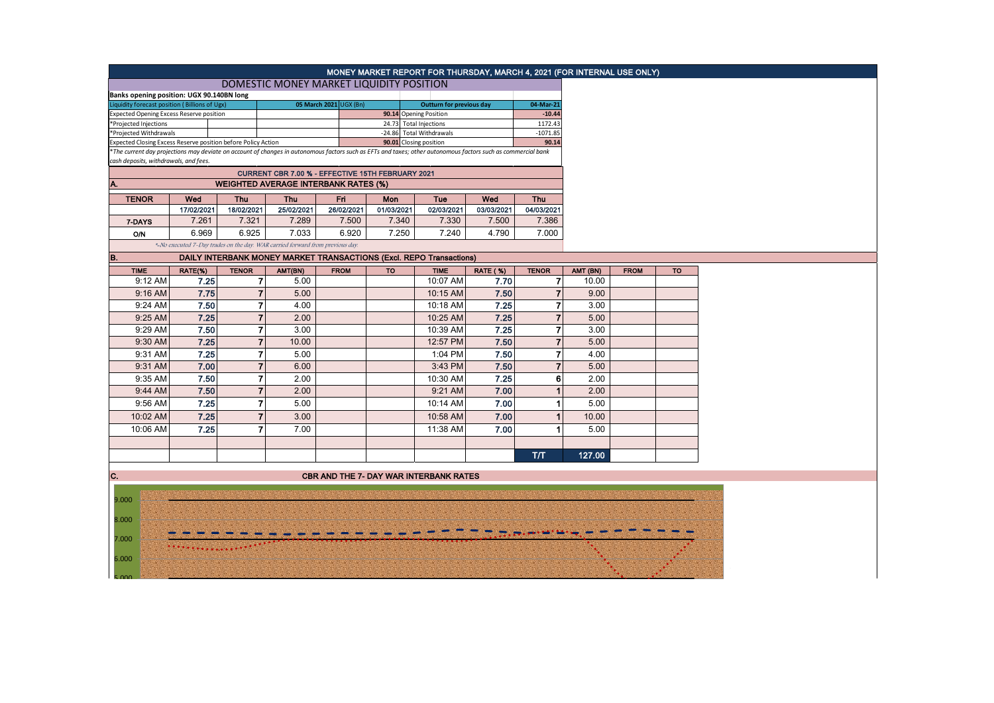|                                                     |                                                                                                                                                                                                                                                          |                |                                          |             |            |                        |                 |                |          |  | MONEY MARKET REPORT FOR THURSDAY, MARCH 4, 2021 (FOR INTERNAL USE ONLY) |  |  |
|-----------------------------------------------------|----------------------------------------------------------------------------------------------------------------------------------------------------------------------------------------------------------------------------------------------------------|----------------|------------------------------------------|-------------|------------|------------------------|-----------------|----------------|----------|--|-------------------------------------------------------------------------|--|--|
|                                                     |                                                                                                                                                                                                                                                          |                |                                          |             |            |                        |                 |                |          |  |                                                                         |  |  |
| Banks opening position: UGX 90.140BN long           |                                                                                                                                                                                                                                                          |                | DOMESTIC MONEY MARKET LIQUIDITY POSITION |             |            |                        |                 |                |          |  |                                                                         |  |  |
| Liquidity forecast position (Billions of Ugx)       | <b>Outturn for previous day</b>                                                                                                                                                                                                                          |                | 04-Mar-21                                |             |            |                        |                 |                |          |  |                                                                         |  |  |
| <b>Expected Opening Excess Reserve position</b>     |                                                                                                                                                                                                                                                          |                |                                          |             |            | 90.14 Opening Position |                 | $-10.44$       |          |  |                                                                         |  |  |
| *Projected Injections                               |                                                                                                                                                                                                                                                          |                |                                          |             |            | 24.73 Total Injections |                 | 1172.43        |          |  |                                                                         |  |  |
| *Projected Withdrawals                              | -24.86 Total Withdrawals                                                                                                                                                                                                                                 |                | $-1071.85$<br>90.14                      |             |            |                        |                 |                |          |  |                                                                         |  |  |
|                                                     | Expected Closing Excess Reserve position before Policy Action<br>90.01 Closing position<br>*The current day projections may deviate on account of changes in autonomous factors such as EFTs and taxes; other autonomous factors such as commercial bank |                |                                          |             |            |                        |                 |                |          |  |                                                                         |  |  |
|                                                     | cash deposits, withdrawals, and fees.                                                                                                                                                                                                                    |                |                                          |             |            |                        |                 |                |          |  |                                                                         |  |  |
|                                                     | CURRENT CBR 7.00 % - EFFECTIVE 15TH FEBRUARY 2021                                                                                                                                                                                                        |                |                                          |             |            |                        |                 |                |          |  |                                                                         |  |  |
|                                                     | <b>WEIGHTED AVERAGE INTERBANK RATES (%)</b>                                                                                                                                                                                                              |                |                                          |             |            |                        |                 |                |          |  |                                                                         |  |  |
| <b>TENOR</b>                                        | Wed<br>Wed<br><b>Thu</b><br>Thu<br>Fri<br>Tue<br><b>Thu</b><br>Mon                                                                                                                                                                                       |                |                                          |             |            |                        |                 |                |          |  |                                                                         |  |  |
|                                                     | 17/02/2021                                                                                                                                                                                                                                               | 18/02/2021     | 25/02/2021                               | 26/02/2021  | 01/03/2021 | 02/03/2021             | 03/03/2021      | 04/03/2021     |          |  |                                                                         |  |  |
| 7-DAYS                                              | 7.261                                                                                                                                                                                                                                                    | 7.321          | 7.289                                    | 7.500       | 7.340      | 7.330                  | 7.500           | 7.386          |          |  |                                                                         |  |  |
| O/N                                                 | 6.969                                                                                                                                                                                                                                                    | 6.925          | 7.033                                    | 6.920       | 7.250      | 7.240                  | 4.790           | 7.000          |          |  |                                                                         |  |  |
|                                                     | *-No executed 7-Day trades on the day. WAR carried forward from previous day.                                                                                                                                                                            |                |                                          |             |            |                        |                 |                |          |  |                                                                         |  |  |
| B.                                                  | DAILY INTERBANK MONEY MARKET TRANSACTIONS (Excl. REPO Transactions)                                                                                                                                                                                      |                |                                          |             |            |                        |                 |                |          |  |                                                                         |  |  |
| <b>TIME</b>                                         | RATE(%)                                                                                                                                                                                                                                                  | <b>TENOR</b>   | AMT(BN)                                  | <b>FROM</b> | <b>TO</b>  | <b>TIME</b>            | <b>RATE (%)</b> | <b>TENOR</b>   | AMT (BN) |  | <b>FROM</b>                                                             |  |  |
| 9:12 AM                                             | 7.25                                                                                                                                                                                                                                                     | $\overline{7}$ | 5.00                                     |             |            | 10:07 AM               | 7.70            | 7              | 10.00    |  |                                                                         |  |  |
| 9:16 AM                                             | 7.75                                                                                                                                                                                                                                                     | $\overline{7}$ | 5.00                                     |             |            | 10:15 AM               | 7.50            | $\overline{7}$ | 9.00     |  |                                                                         |  |  |
| 9:24 AM                                             | 7.50                                                                                                                                                                                                                                                     | $\overline{7}$ | 4.00                                     |             |            | 10:18 AM               | 7.25            | 7              | 3.00     |  |                                                                         |  |  |
| 9:25 AM                                             | 7.25                                                                                                                                                                                                                                                     | $\overline{7}$ | 2.00                                     |             |            | 10:25 AM               | 7.25            | $\overline{7}$ | 5.00     |  |                                                                         |  |  |
| 9:29 AM                                             | 7.50                                                                                                                                                                                                                                                     | $\overline{7}$ | 3.00                                     |             |            | 10:39 AM               | 7.25            | $\overline{7}$ | 3.00     |  |                                                                         |  |  |
| 9:30 AM                                             | 7.25                                                                                                                                                                                                                                                     | $\overline{7}$ | 10.00                                    |             |            | 12:57 PM               | 7.50            | $\overline{7}$ | 5.00     |  |                                                                         |  |  |
| 9:31 AM                                             | 7.25                                                                                                                                                                                                                                                     | $\overline{7}$ | 5.00                                     |             |            | 1:04 PM                | 7.50            | $\overline{7}$ | 4.00     |  |                                                                         |  |  |
| 9:31 AM                                             | 7.00                                                                                                                                                                                                                                                     | $\mathbf{7}$   | 6.00                                     |             |            | 3:43 PM                | 7.50            | $\overline{7}$ | 5.00     |  |                                                                         |  |  |
|                                                     |                                                                                                                                                                                                                                                          | $\overline{7}$ |                                          |             |            |                        |                 |                |          |  |                                                                         |  |  |
| 9:35 AM                                             | 7.50                                                                                                                                                                                                                                                     |                | 2.00                                     |             |            | 10:30 AM               | 7.25            | 6              | 2.00     |  |                                                                         |  |  |
| 9:44 AM                                             | 7.50                                                                                                                                                                                                                                                     | $\overline{7}$ | 2.00                                     |             |            | 9:21 AM                | 7.00            | $\overline{1}$ | 2.00     |  |                                                                         |  |  |
| 9:56 AM                                             | 7.25                                                                                                                                                                                                                                                     | $\overline{7}$ | 5.00                                     |             |            | 10:14 AM               | 7.00            | 1              | 5.00     |  |                                                                         |  |  |
| 10:02 AM                                            | 7.25                                                                                                                                                                                                                                                     | $\overline{7}$ | 3.00                                     |             |            | 10:58 AM               | 7.00            | 1              | 10.00    |  |                                                                         |  |  |
| 10:06 AM                                            | 7.25                                                                                                                                                                                                                                                     | $\overline{7}$ | 7.00                                     |             |            | 11:38 AM               | 7.00            | 1              | 5.00     |  |                                                                         |  |  |
|                                                     |                                                                                                                                                                                                                                                          |                |                                          |             |            |                        |                 |                |          |  |                                                                         |  |  |
|                                                     |                                                                                                                                                                                                                                                          |                |                                          |             |            |                        |                 | T/T            | 127.00   |  |                                                                         |  |  |
|                                                     |                                                                                                                                                                                                                                                          |                |                                          |             |            |                        |                 |                |          |  |                                                                         |  |  |
| C.<br><b>CBR AND THE 7- DAY WAR INTERBANK RATES</b> |                                                                                                                                                                                                                                                          |                |                                          |             |            |                        |                 |                |          |  |                                                                         |  |  |
|                                                     |                                                                                                                                                                                                                                                          |                |                                          |             |            |                        |                 |                |          |  |                                                                         |  |  |
| 9.000                                               |                                                                                                                                                                                                                                                          |                |                                          |             |            |                        |                 |                |          |  |                                                                         |  |  |
|                                                     |                                                                                                                                                                                                                                                          |                |                                          |             |            |                        |                 |                |          |  |                                                                         |  |  |
| 8.000                                               |                                                                                                                                                                                                                                                          |                |                                          |             |            |                        |                 |                |          |  |                                                                         |  |  |
| 7.000                                               |                                                                                                                                                                                                                                                          |                |                                          |             |            |                        |                 |                |          |  |                                                                         |  |  |
|                                                     |                                                                                                                                                                                                                                                          |                |                                          |             |            |                        |                 |                |          |  |                                                                         |  |  |
| 6.000                                               |                                                                                                                                                                                                                                                          |                |                                          |             |            |                        |                 |                |          |  |                                                                         |  |  |
|                                                     |                                                                                                                                                                                                                                                          |                |                                          |             |            |                        |                 |                |          |  |                                                                         |  |  |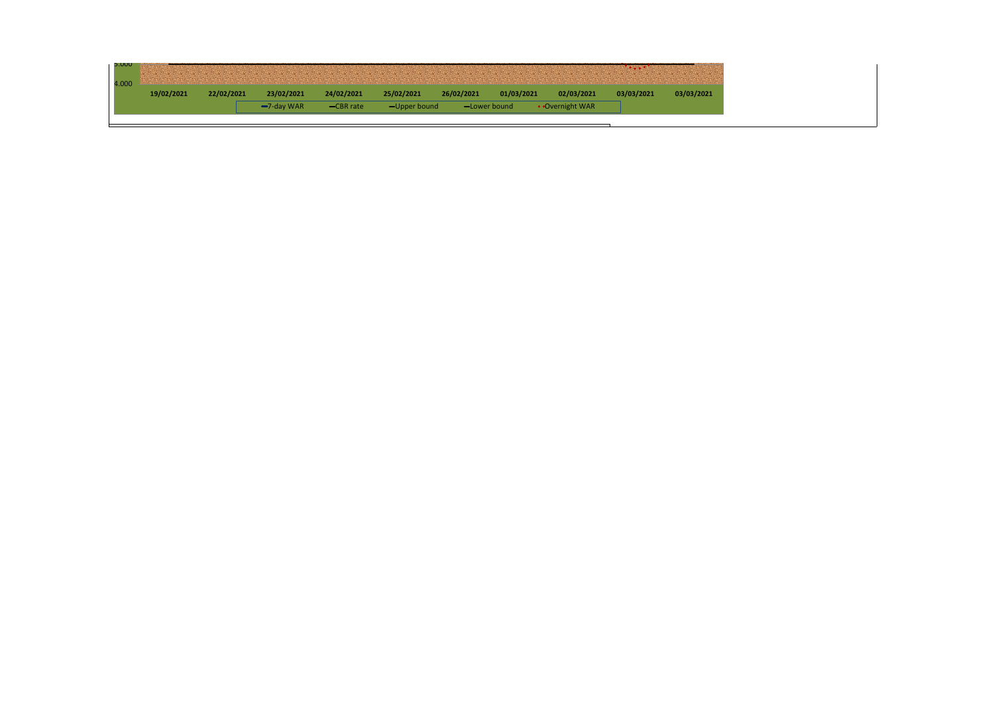| 24/02/2021<br>02/03/2021<br>22/02/2021<br>25/02/2021<br>26/02/2021<br>23/02/2021<br>01/03/2021<br>03/03/2021<br>19/02/2021<br>03/03/2021<br>• Overnight WAR<br>$-7$ -day WAR<br>-CBR rate<br>$-$ Upper bound<br>-Lower bound |  |  |  |  | and the Charles County of the Charles County and the Charles Charles Charles Charles Charles Charles Charles Charles Charles Charles Charles Charles Charles Charles Charles Charles Charles Charles Charles Charles Charles C |  |
|------------------------------------------------------------------------------------------------------------------------------------------------------------------------------------------------------------------------------|--|--|--|--|--------------------------------------------------------------------------------------------------------------------------------------------------------------------------------------------------------------------------------|--|
|                                                                                                                                                                                                                              |  |  |  |  |                                                                                                                                                                                                                                |  |
|                                                                                                                                                                                                                              |  |  |  |  |                                                                                                                                                                                                                                |  |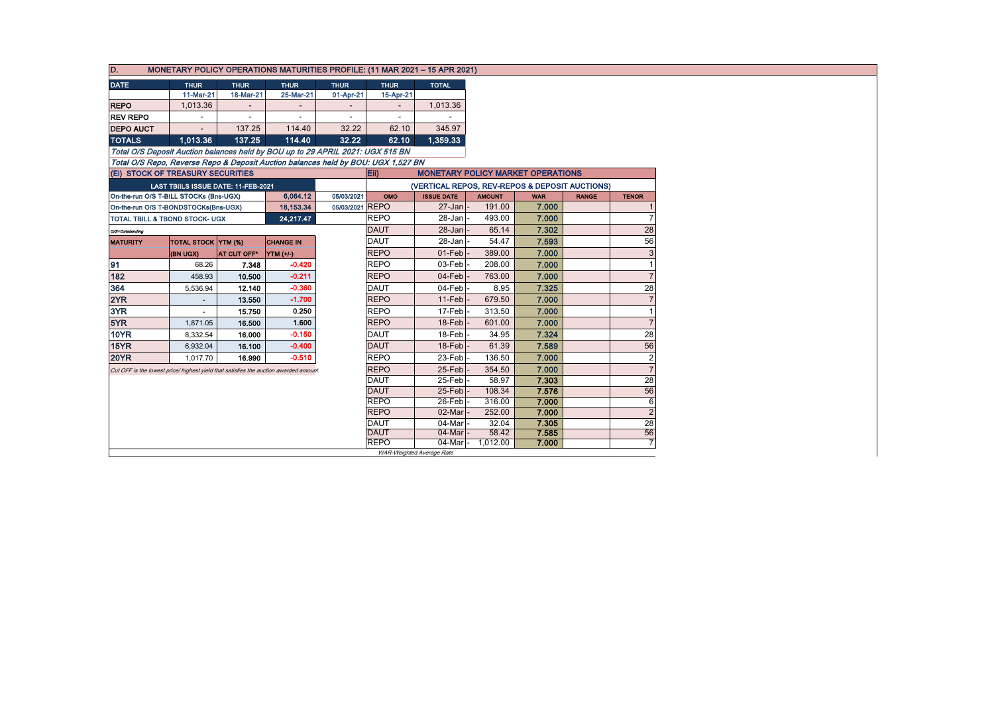| D.<br>MONETARY POLICY OPERATIONS MATURITIES PROFILE: (11 MAR 2021 - 15 APR 2021) |                                                                                   |                            |                                     |                                                                                      |                          |                          |                                                |               |            |              |                      |
|----------------------------------------------------------------------------------|-----------------------------------------------------------------------------------|----------------------------|-------------------------------------|--------------------------------------------------------------------------------------|--------------------------|--------------------------|------------------------------------------------|---------------|------------|--------------|----------------------|
| <b>DATE</b>                                                                      |                                                                                   | <b>THUR</b>                | <b>THUR</b>                         | <b>THUR</b>                                                                          | <b>THUR</b>              | <b>THUR</b>              | <b>TOTAL</b>                                   |               |            |              |                      |
|                                                                                  |                                                                                   | 11-Mar-21                  | 18-Mar-21                           | 25-Mar-21                                                                            | 01-Apr-21                | 15-Apr-21                |                                                |               |            |              |                      |
| <b>REPO</b>                                                                      |                                                                                   | 1,013.36                   |                                     | $\overline{\phantom{a}}$                                                             |                          |                          | 1,013.36                                       |               |            |              |                      |
| <b>REV REPO</b>                                                                  |                                                                                   |                            | $\overline{\phantom{a}}$            | $\overline{\phantom{a}}$                                                             | $\overline{\phantom{a}}$ | $\overline{\phantom{a}}$ |                                                |               |            |              |                      |
| <b>DEPO AUCT</b>                                                                 |                                                                                   |                            | 137.25                              | 114.40                                                                               | 32.22                    | 62.10                    | 345.97                                         |               |            |              |                      |
| <b>TOTALS</b>                                                                    |                                                                                   | 1.013.36                   | 137.25                              | 114.40                                                                               | 32.22                    | 62.10                    | 1.359.33                                       |               |            |              |                      |
|                                                                                  | Total O/S Deposit Auction balances held by BOU up to 29 APRIL 2021: UGX 515 BN    |                            |                                     |                                                                                      |                          |                          |                                                |               |            |              |                      |
|                                                                                  | Total O/S Repo, Reverse Repo & Deposit Auction balances held by BOU: UGX 1,527 BN |                            |                                     |                                                                                      |                          |                          |                                                |               |            |              |                      |
|                                                                                  | (Ei) STOCK OF TREASURY SECURITIES                                                 |                            |                                     |                                                                                      |                          | Eii)                     | <b>MONETARY POLICY MARKET OPERATIONS</b>       |               |            |              |                      |
|                                                                                  |                                                                                   |                            | LAST TBIILS ISSUE DATE: 11-FEB-2021 |                                                                                      |                          |                          | (VERTICAL REPOS, REV-REPOS & DEPOSIT AUCTIONS) |               |            |              |                      |
|                                                                                  | On-the-run O/S T-BILL STOCKs (Bns-UGX)                                            |                            |                                     | 6,064.12                                                                             | 05/03/2021               | OMO                      | <b>ISSUE DATE</b>                              | <b>AMOUNT</b> | <b>WAR</b> | <b>RANGE</b> | <b>TENOR</b>         |
|                                                                                  | On-the-run O/S T-BONDSTOCKs(Bns-UGX)                                              |                            |                                     | 18,153.34                                                                            | 05/03/2021 REPO          |                          | 27-Jan                                         | 191.00        | 7.000      |              |                      |
|                                                                                  | <b>TOTAL TBILL &amp; TBOND STOCK- UGX</b>                                         |                            |                                     | 24,217.47                                                                            |                          | <b>REPO</b>              | 28-Jan                                         | 493.00        | 7.000      |              |                      |
| O/S=Outstanding                                                                  |                                                                                   |                            |                                     |                                                                                      |                          | <b>DAUT</b>              | 28-Jan                                         | 65.14         | 7.302      |              | 28                   |
| <b>MATURITY</b>                                                                  |                                                                                   | <b>TOTAL STOCK YTM (%)</b> |                                     | <b>CHANGE IN</b>                                                                     |                          | DAUT                     | 28-Jan                                         | 54.47         | 7.593      |              | 56                   |
|                                                                                  | (BN UGX)                                                                          |                            | AT CUT OFF*                         | $\Upsilon$ TM $(+/-)$                                                                |                          | <b>REPO</b>              | 01-Feb                                         | 389.00        | 7.000      |              | 3                    |
| 91                                                                               |                                                                                   | 68.26                      | 7.348                               | $-0.420$                                                                             |                          | <b>REPO</b>              | 03-Feb                                         | 208.00        | 7.000      |              |                      |
| 182                                                                              |                                                                                   | 458.93                     | 10.500                              | $-0.211$                                                                             |                          | <b>REPO</b>              | 04-Feb                                         | 763.00        | 7.000      |              |                      |
| 364                                                                              |                                                                                   | 5,536.94                   | 12.140                              | $-0.360$                                                                             |                          | <b>DAUT</b>              | 04-Feb                                         | 8.95          | 7.325      |              | 28                   |
| 2YR                                                                              |                                                                                   |                            | 13.550                              | $-1.700$                                                                             |                          | <b>REPO</b>              | 11-Feb                                         | 679.50        | 7.000      |              |                      |
| 3YR                                                                              |                                                                                   |                            | 15.750                              | 0.250                                                                                |                          | <b>REPO</b>              | 17-Feb                                         | 313.50        | 7.000      |              |                      |
| 5YR                                                                              |                                                                                   | 1,871.05                   | 16.500                              | 1.600                                                                                |                          | <b>REPO</b>              | 18-Feb                                         | 601.00        | 7.000      |              | $\overline{7}$       |
| 10YR                                                                             |                                                                                   | 8,332.54                   | 16.000                              | $-0.150$                                                                             |                          | <b>DAUT</b>              | 18-Feb                                         | 34.95         | 7.324      |              | 28                   |
| 15YR                                                                             |                                                                                   | 6,932.04                   | 16.100                              | $-0.400$                                                                             |                          | <b>DAUT</b>              | 18-Feb                                         | 61.39         | 7.589      |              | 56                   |
| <b>20YR</b>                                                                      |                                                                                   | 1,017.70                   | 16.990                              | $-0.510$                                                                             |                          | <b>REPO</b>              | 23-Feb                                         | 136.50        | 7.000      |              | $\overline{2}$       |
|                                                                                  |                                                                                   |                            |                                     | Cut OFF is the lowest price/ highest yield that satisfies the auction awarded amount |                          | <b>REPO</b>              | 25-Feb                                         | 354.50        | 7.000      |              | $\overline{7}$       |
|                                                                                  |                                                                                   |                            |                                     |                                                                                      |                          | <b>DAUT</b>              | 25-Feb                                         | 58.97         | 7.303      |              | 28                   |
|                                                                                  |                                                                                   |                            |                                     |                                                                                      |                          | <b>DAUT</b>              | 25-Feb                                         | 108.34        | 7.576      |              | 56                   |
|                                                                                  |                                                                                   |                            |                                     |                                                                                      |                          | <b>REPO</b>              | 26-Feb                                         | 316.00        | 7.000      |              | 6                    |
|                                                                                  |                                                                                   |                            |                                     |                                                                                      |                          | <b>REPO</b>              | 02-Mar                                         | 252.00        | 7.000      |              | $\overline{2}$       |
|                                                                                  |                                                                                   |                            |                                     |                                                                                      |                          | DAUT                     | 04-Mar                                         | 32.04         | 7.305      |              | 28                   |
|                                                                                  |                                                                                   |                            |                                     |                                                                                      |                          | <b>DAUT</b>              | 04-Mar                                         | 58.42         | 7.585      |              | 56<br>$\overline{7}$ |
|                                                                                  |                                                                                   |                            |                                     |                                                                                      |                          | <b>REPO</b>              | 04-Mar<br>WAR-Weighted Average Rate            | 1,012.00      | 7.000      |              |                      |